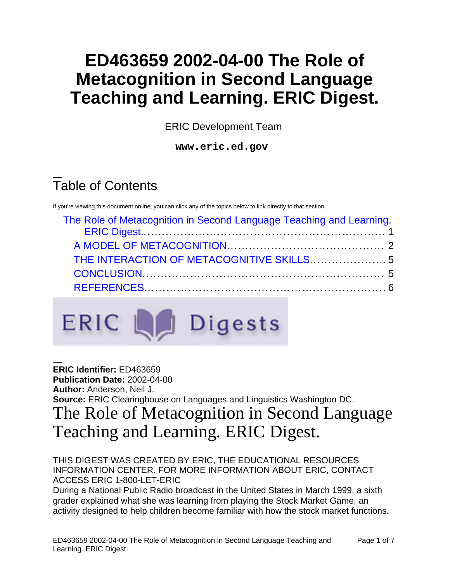# **ED463659 2002-04-00 The Role of Metacognition in Second Language Teaching and Learning. ERIC Digest.**

ERIC Development Team

**www.eric.ed.gov**

# Table of Contents

If you're viewing this document online, you can click any of the topics below to link directly to that section.

| The Role of Metacognition in Second Language Teaching and Learning. |  |
|---------------------------------------------------------------------|--|
|                                                                     |  |
|                                                                     |  |
|                                                                     |  |
|                                                                     |  |



<span id="page-0-0"></span>**ERIC Identifier:** ED463659 **Publication Date:** 2002-04-00 **Author:** Anderson, Neil J. **Source:** ERIC Clearinghouse on Languages and Linguistics Washington DC. The Role of Metacognition in Second Language Teaching and Learning. ERIC Digest.

### THIS DIGEST WAS CREATED BY ERIC, THE EDUCATIONAL RESOURCES INFORMATION CENTER. FOR MORE INFORMATION ABOUT ERIC, CONTACT ACCESS ERIC 1-800-LET-ERIC

During a National Public Radio broadcast in the United States in March 1999, a sixth grader explained what she was learning from playing the Stock Market Game, an activity designed to help children become familiar with how the stock market functions.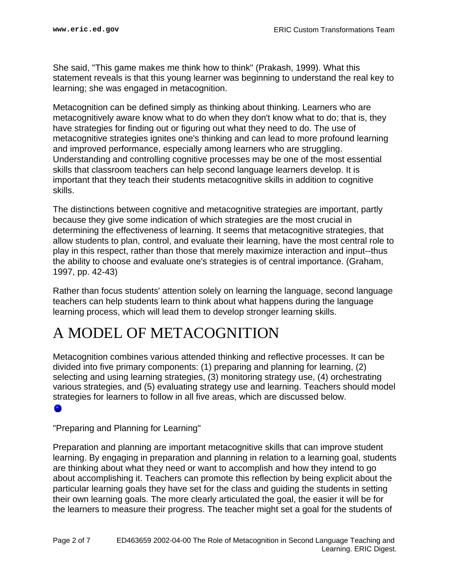She said, "This game makes me think how to think" (Prakash, 1999). What this statement reveals is that this young learner was beginning to understand the real key to learning; she was engaged in metacognition.

Metacognition can be defined simply as thinking about thinking. Learners who are metacognitively aware know what to do when they don't know what to do; that is, they have strategies for finding out or figuring out what they need to do. The use of metacognitive strategies ignites one's thinking and can lead to more profound learning and improved performance, especially among learners who are struggling. Understanding and controlling cognitive processes may be one of the most essential skills that classroom teachers can help second language learners develop. It is important that they teach their students metacognitive skills in addition to cognitive skills.

The distinctions between cognitive and metacognitive strategies are important, partly because they give some indication of which strategies are the most crucial in determining the effectiveness of learning. It seems that metacognitive strategies, that allow students to plan, control, and evaluate their learning, have the most central role to play in this respect, rather than those that merely maximize interaction and input--thus the ability to choose and evaluate one's strategies is of central importance. (Graham, 1997, pp. 42-43)

Rather than focus students' attention solely on learning the language, second language teachers can help students learn to think about what happens during the language learning process, which will lead them to develop stronger learning skills.

## <span id="page-1-0"></span>A MODEL OF METACOGNITION

Metacognition combines various attended thinking and reflective processes. It can be divided into five primary components: (1) preparing and planning for learning, (2) selecting and using learning strategies, (3) monitoring strategy use, (4) orchestrating various strategies, and (5) evaluating strategy use and learning. Teachers should model strategies for learners to follow in all five areas, which are discussed below.

### ۰

"Preparing and Planning for Learning"

Preparation and planning are important metacognitive skills that can improve student learning. By engaging in preparation and planning in relation to a learning goal, students are thinking about what they need or want to accomplish and how they intend to go about accomplishing it. Teachers can promote this reflection by being explicit about the particular learning goals they have set for the class and guiding the students in setting their own learning goals. The more clearly articulated the goal, the easier it will be for the learners to measure their progress. The teacher might set a goal for the students of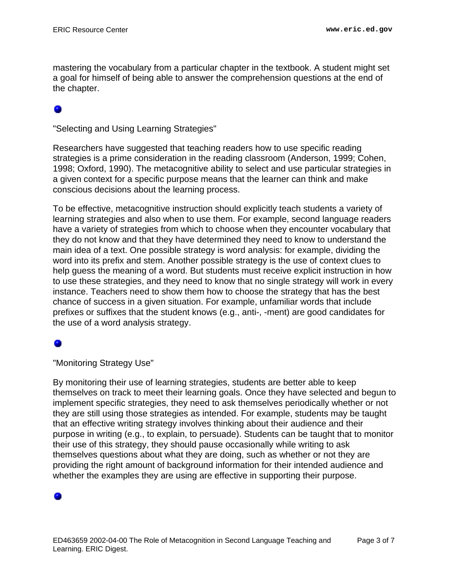mastering the vocabulary from a particular chapter in the textbook. A student might set a goal for himself of being able to answer the comprehension questions at the end of the chapter.

"Selecting and Using Learning Strategies"

Researchers have suggested that teaching readers how to use specific reading strategies is a prime consideration in the reading classroom (Anderson, 1999; Cohen, 1998; Oxford, 1990). The metacognitive ability to select and use particular strategies in a given context for a specific purpose means that the learner can think and make conscious decisions about the learning process.

To be effective, metacognitive instruction should explicitly teach students a variety of learning strategies and also when to use them. For example, second language readers have a variety of strategies from which to choose when they encounter vocabulary that they do not know and that they have determined they need to know to understand the main idea of a text. One possible strategy is word analysis: for example, dividing the word into its prefix and stem. Another possible strategy is the use of context clues to help guess the meaning of a word. But students must receive explicit instruction in how to use these strategies, and they need to know that no single strategy will work in every instance. Teachers need to show them how to choose the strategy that has the best chance of success in a given situation. For example, unfamiliar words that include prefixes or suffixes that the student knows (e.g., anti-, -ment) are good candidates for the use of a word analysis strategy.

"Monitoring Strategy Use"

By monitoring their use of learning strategies, students are better able to keep themselves on track to meet their learning goals. Once they have selected and begun to implement specific strategies, they need to ask themselves periodically whether or not they are still using those strategies as intended. For example, students may be taught that an effective writing strategy involves thinking about their audience and their purpose in writing (e.g., to explain, to persuade). Students can be taught that to monitor their use of this strategy, they should pause occasionally while writing to ask themselves questions about what they are doing, such as whether or not they are providing the right amount of background information for their intended audience and whether the examples they are using are effective in supporting their purpose.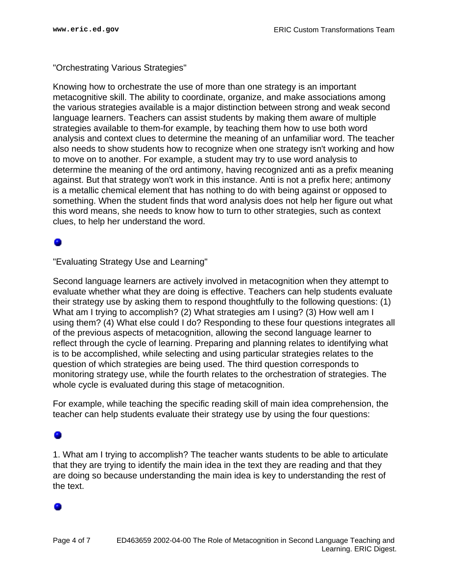### "Orchestrating Various Strategies"

Knowing how to orchestrate the use of more than one strategy is an important metacognitive skill. The ability to coordinate, organize, and make associations among the various strategies available is a major distinction between strong and weak second language learners. Teachers can assist students by making them aware of multiple strategies available to them-for example, by teaching them how to use both word analysis and context clues to determine the meaning of an unfamiliar word. The teacher also needs to show students how to recognize when one strategy isn't working and how to move on to another. For example, a student may try to use word analysis to determine the meaning of the ord antimony, having recognized anti as a prefix meaning against. But that strategy won't work in this instance. Anti is not a prefix here; antimony is a metallic chemical element that has nothing to do with being against or opposed to something. When the student finds that word analysis does not help her figure out what this word means, she needs to know how to turn to other strategies, such as context clues, to help her understand the word.

### ۰

"Evaluating Strategy Use and Learning"

Second language learners are actively involved in metacognition when they attempt to evaluate whether what they are doing is effective. Teachers can help students evaluate their strategy use by asking them to respond thoughtfully to the following questions: (1) What am I trying to accomplish? (2) What strategies am I using? (3) How well am I using them? (4) What else could I do? Responding to these four questions integrates all of the previous aspects of metacognition, allowing the second language learner to reflect through the cycle of learning. Preparing and planning relates to identifying what is to be accomplished, while selecting and using particular strategies relates to the question of which strategies are being used. The third question corresponds to monitoring strategy use, while the fourth relates to the orchestration of strategies. The whole cycle is evaluated during this stage of metacognition.

For example, while teaching the specific reading skill of main idea comprehension, the teacher can help students evaluate their strategy use by using the four questions:

### 0

1. What am I trying to accomplish? The teacher wants students to be able to articulate that they are trying to identify the main idea in the text they are reading and that they are doing so because understanding the main idea is key to understanding the rest of the text.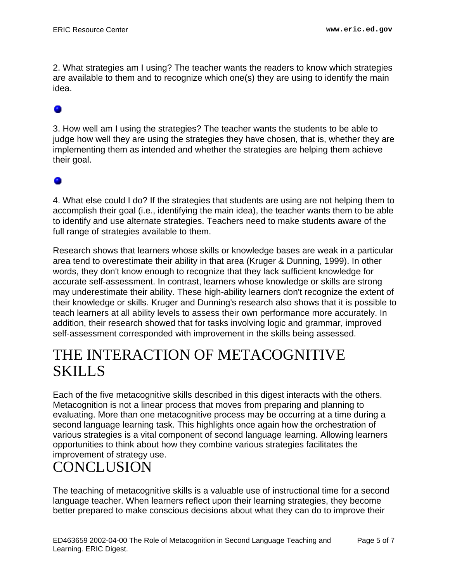2. What strategies am I using? The teacher wants the readers to know which strategies are available to them and to recognize which one(s) they are using to identify the main idea.

3. How well am I using the strategies? The teacher wants the students to be able to judge how well they are using the strategies they have chosen, that is, whether they are implementing them as intended and whether the strategies are helping them achieve their goal.

### ۰

4. What else could I do? If the strategies that students are using are not helping them to accomplish their goal (i.e., identifying the main idea), the teacher wants them to be able to identify and use alternate strategies. Teachers need to make students aware of the full range of strategies available to them.

Research shows that learners whose skills or knowledge bases are weak in a particular area tend to overestimate their ability in that area (Kruger & Dunning, 1999). In other words, they don't know enough to recognize that they lack sufficient knowledge for accurate self-assessment. In contrast, learners whose knowledge or skills are strong may underestimate their ability. These high-ability learners don't recognize the extent of their knowledge or skills. Kruger and Dunning's research also shows that it is possible to teach learners at all ability levels to assess their own performance more accurately. In addition, their research showed that for tasks involving logic and grammar, improved self-assessment corresponded with improvement in the skills being assessed.

## <span id="page-4-0"></span>THE INTERACTION OF METACOGNITIVE SKILLS

Each of the five metacognitive skills described in this digest interacts with the others. Metacognition is not a linear process that moves from preparing and planning to evaluating. More than one metacognitive process may be occurring at a time during a second language learning task. This highlights once again how the orchestration of various strategies is a vital component of second language learning. Allowing learners opportunities to think about how they combine various strategies facilitates the improvement of strategy use.

## <span id="page-4-1"></span>CONCLUSION

The teaching of metacognitive skills is a valuable use of instructional time for a second language teacher. When learners reflect upon their learning strategies, they become better prepared to make conscious decisions about what they can do to improve their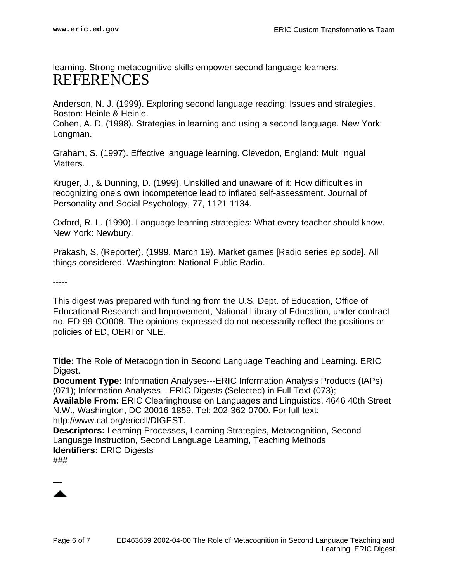<span id="page-5-0"></span>learning. Strong metacognitive skills empower second language learners. REFERENCES

Anderson, N. J. (1999). Exploring second language reading: Issues and strategies. Boston: Heinle & Heinle.

Cohen, A. D. (1998). Strategies in learning and using a second language. New York: Longman.

Graham, S. (1997). Effective language learning. Clevedon, England: Multilingual **Matters** 

Kruger, J., & Dunning, D. (1999). Unskilled and unaware of it: How difficulties in recognizing one's own incompetence lead to inflated self-assessment. Journal of Personality and Social Psychology, 77, 1121-1134.

Oxford, R. L. (1990). Language learning strategies: What every teacher should know. New York: Newbury.

Prakash, S. (Reporter). (1999, March 19). Market games [Radio series episode]. All things considered. Washington: National Public Radio.

-----

This digest was prepared with funding from the U.S. Dept. of Education, Office of Educational Research and Improvement, National Library of Education, under contract no. ED-99-CO008. The opinions expressed do not necessarily reflect the positions or policies of ED, OERI or NLE.

**Title:** The Role of Metacognition in Second Language Teaching and Learning. ERIC Digest.

**Document Type:** Information Analyses---ERIC Information Analysis Products (IAPs) (071); Information Analyses---ERIC Digests (Selected) in Full Text (073);

**Available From:** ERIC Clearinghouse on Languages and Linguistics, 4646 40th Street N.W., Washington, DC 20016-1859. Tel: 202-362-0700. For full text: http://www.cal.org/ericcll/DIGEST.

**Descriptors:** Learning Processes, Learning Strategies, Metacognition, Second Language Instruction, Second Language Learning, Teaching Methods **Identifiers:** ERIC Digests

###